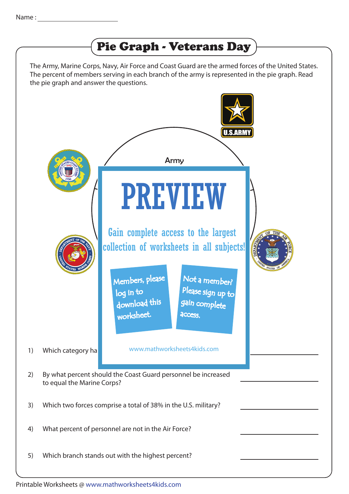

The Army, Marine Corps, Navy, Air Force and Coast Guard are the armed forces of the United States. The percent of members serving in each branch of the army is represented in the pie graph. Read the pie graph and answer the questions.